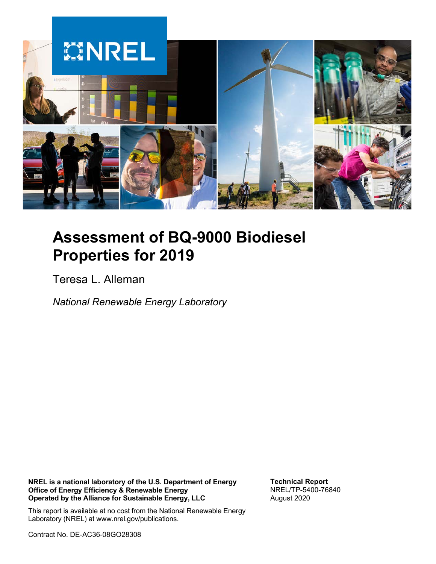

# **Assessment of BQ-9000 Biodiesel Properties for 2019**

Teresa L. Alleman

*National Renewable Energy Laboratory*

**NREL is a national laboratory of the U.S. Department of Energy Office of Energy Efficiency & Renewable Energy Operated by the Alliance for Sustainable Energy, LLC**

**Technical Report** NREL/TP-5400-76840 August 2020

This report is available at no cost from the National Renewable Energy Laboratory (NREL) at www.nrel.gov/publications.

Contract No. DE-AC36-08GO28308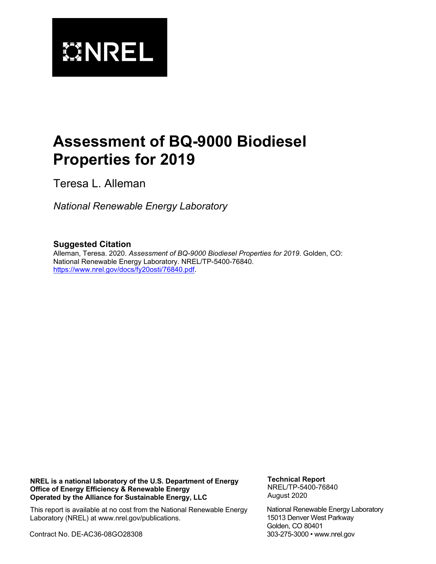

# **Assessment of BQ-9000 Biodiesel Properties for 2019**

Teresa L. Alleman

*National Renewable Energy Laboratory*

#### **Suggested Citation**

Alleman, Teresa. 2020. *Assessment of BQ-9000 Biodiesel Properties for 2019*. Golden, CO: National Renewable Energy Laboratory. NREL/TP-5400-76840. [https://www.nrel.gov/docs/fy20osti/76840.pdf.](https://www.nrel.gov/docs/fy20osti/76840.pdf)

**NREL is a national laboratory of the U.S. Department of Energy Office of Energy Efficiency & Renewable Energy Operated by the Alliance for Sustainable Energy, LLC**

**Technical Report** NREL/TP-5400-76840 August 2020

This report is available at no cost from the National Renewable Energy Laboratory (NREL) at www.nrel.gov/publications.

Contract No. DE-AC36-08GO28308

National Renewable Energy Laboratory 15013 Denver West Parkway Golden, CO 80401 303-275-3000 • www.nrel.gov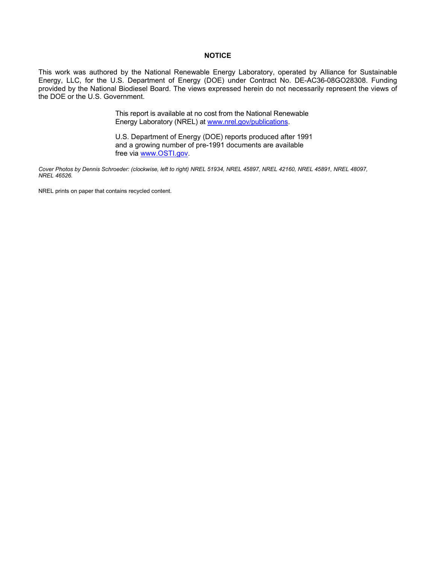#### **NOTICE**

This work was authored by the National Renewable Energy Laboratory, operated by Alliance for Sustainable Energy, LLC, for the U.S. Department of Energy (DOE) under Contract No. DE-AC36-08GO28308. Funding provided by the National Biodiesel Board. The views expressed herein do not necessarily represent the views of the DOE or the U.S. Government.

> This report is available at no cost from the National Renewable Energy Laboratory (NREL) at [www.nrel.gov/publications.](http://www.nrel.gov/publications)

U.S. Department of Energy (DOE) reports produced after 1991 and a growing number of pre-1991 documents are available free via [www.OSTI.gov.](http://www.osti.gov/)

*Cover Photos by Dennis Schroeder: (clockwise, left to right) NREL 51934, NREL 45897, NREL 42160, NREL 45891, NREL 48097, NREL 46526.*

NREL prints on paper that contains recycled content.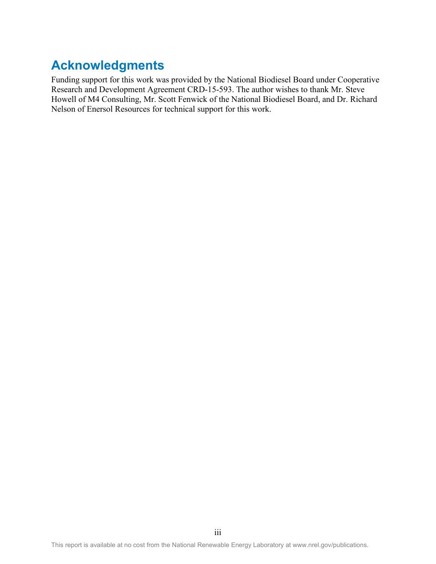## **Acknowledgments**

Funding support for this work was provided by the National Biodiesel Board under Cooperative Research and Development Agreement CRD-15-593. The author wishes to thank Mr. Steve Howell of M4 Consulting, Mr. Scott Fenwick of the National Biodiesel Board, and Dr. Richard Nelson of Enersol Resources for technical support for this work.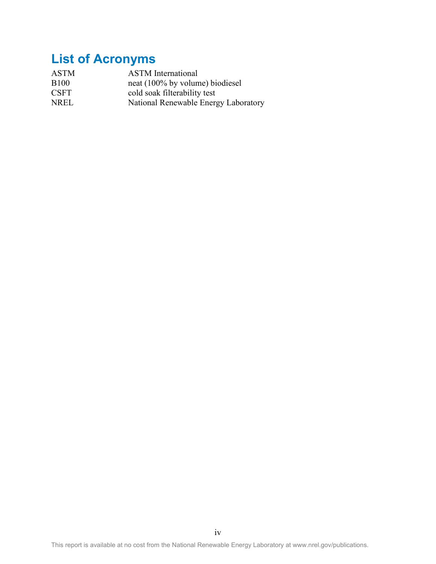# **List of Acronyms**

| <b>ASTM</b>  | <b>ASTM</b> International            |
|--------------|--------------------------------------|
| <b>B</b> 100 | neat (100% by volume) biodiesel      |
| <b>CSFT</b>  | cold soak filterability test         |
| <b>NREL</b>  | National Renewable Energy Laboratory |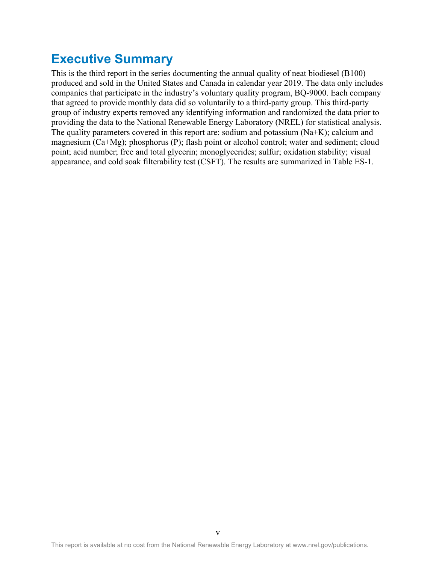## **Executive Summary**

This is the third report in the series documenting the annual quality of neat biodiesel (B100) produced and sold in the United States and Canada in calendar year 2019. The data only includes companies that participate in the industry's voluntary quality program, BQ-9000. Each company that agreed to provide monthly data did so voluntarily to a third-party group. This third-party group of industry experts removed any identifying information and randomized the data prior to providing the data to the National Renewable Energy Laboratory (NREL) for statistical analysis. The quality parameters covered in this report are: sodium and potassium (Na+K); calcium and magnesium (Ca+Mg); phosphorus (P); flash point or alcohol control; water and sediment; cloud point; acid number; free and total glycerin; monoglycerides; sulfur; oxidation stability; visual appearance, and cold soak filterability test (CSFT). The results are summarized in Table ES-1.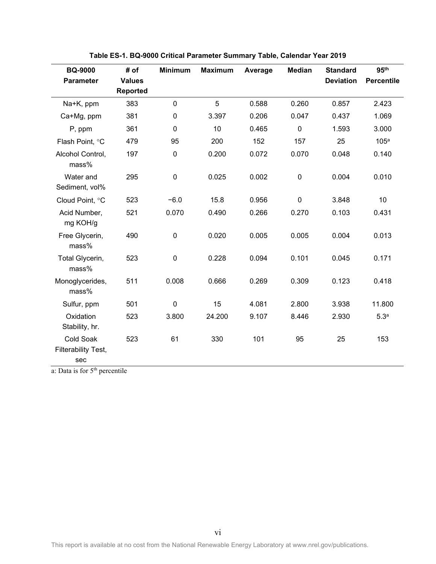<span id="page-6-0"></span>

| <b>BQ-9000</b><br><b>Parameter</b>      | # of<br><b>Values</b><br><b>Reported</b> | <b>Minimum</b> | <b>Maximum</b> | Average | <b>Median</b> | <b>Standard</b><br><b>Deviation</b> | 95 <sup>th</sup><br><b>Percentile</b> |
|-----------------------------------------|------------------------------------------|----------------|----------------|---------|---------------|-------------------------------------|---------------------------------------|
| Na+K, ppm                               | 383                                      | $\mathbf 0$    | 5              | 0.588   | 0.260         | 0.857                               | 2.423                                 |
| Ca+Mg, ppm                              | 381                                      | $\mathbf 0$    | 3.397          | 0.206   | 0.047         | 0.437                               | 1.069                                 |
| P, ppm                                  | 361                                      | $\pmb{0}$      | 10             | 0.465   | $\mathbf 0$   | 1.593                               | 3.000                                 |
| Flash Point, °C                         | 479                                      | 95             | 200            | 152     | 157           | 25                                  | 105 <sup>a</sup>                      |
| Alcohol Control,<br>mass%               | 197                                      | $\mathbf 0$    | 0.200          | 0.072   | 0.070         | 0.048                               | 0.140                                 |
| Water and<br>Sediment, vol%             | 295                                      | $\mathbf 0$    | 0.025          | 0.002   | $\mathbf 0$   | 0.004                               | 0.010                                 |
| Cloud Point, °C                         | 523                                      | $-6.0$         | 15.8           | 0.956   | $\pmb{0}$     | 3.848                               | 10                                    |
| Acid Number,<br>mg KOH/g                | 521                                      | 0.070          | 0.490          | 0.266   | 0.270         | 0.103                               | 0.431                                 |
| Free Glycerin,<br>mass%                 | 490                                      | $\mathbf 0$    | 0.020          | 0.005   | 0.005         | 0.004                               | 0.013                                 |
| Total Glycerin,<br>mass%                | 523                                      | $\pmb{0}$      | 0.228          | 0.094   | 0.101         | 0.045                               | 0.171                                 |
| Monoglycerides,<br>mass%                | 511                                      | 0.008          | 0.666          | 0.269   | 0.309         | 0.123                               | 0.418                                 |
| Sulfur, ppm                             | 501                                      | $\pmb{0}$      | 15             | 4.081   | 2.800         | 3.938                               | 11.800                                |
| Oxidation<br>Stability, hr.             | 523                                      | 3.800          | 24.200         | 9.107   | 8.446         | 2.930                               | 5.3 <sup>a</sup>                      |
| Cold Soak<br>Filterability Test,<br>sec | 523                                      | 61             | 330            | 101     | 95            | 25                                  | 153                                   |

**Table ES-1. BQ-9000 Critical Parameter Summary Table, Calendar Year 2019**

a: Data is for 5<sup>th</sup> percentile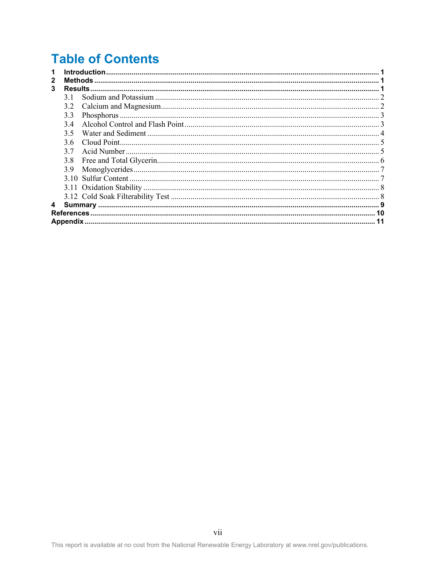# **Table of Contents**

| 1 |     |    |
|---|-----|----|
| 2 |     |    |
| 3 |     |    |
|   | 3.1 |    |
|   | 3.2 |    |
|   | 3.3 |    |
|   | 3.4 |    |
|   | 3.5 |    |
|   | 3.6 |    |
|   | 3.7 |    |
|   | 3.8 |    |
|   | 3.9 |    |
|   |     |    |
|   |     |    |
|   |     |    |
| 4 |     |    |
|   |     |    |
|   |     | 11 |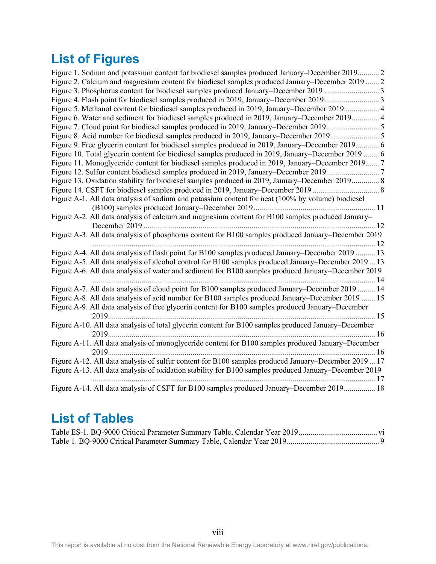# **List of Figures**

| Figure 1. Sodium and potassium content for biodiesel samples produced January–December 2019 2         |
|-------------------------------------------------------------------------------------------------------|
| Figure 2. Calcium and magnesium content for biodiesel samples produced January-December 2019  2       |
| Figure 3. Phosphorus content for biodiesel samples produced January–December 2019 3                   |
| Figure 4. Flash point for biodiesel samples produced in 2019, January–December 20193                  |
| Figure 5. Methanol content for biodiesel samples produced in 2019, January–December 2019 4            |
| Figure 6. Water and sediment for biodiesel samples produced in 2019, January–December 2019 4          |
|                                                                                                       |
| Figure 8. Acid number for biodiesel samples produced in 2019, January-December 2019 5                 |
| Figure 9. Free glycerin content for biodiesel samples produced in 2019, January–December 2019 6       |
| Figure 10. Total glycerin content for biodiesel samples produced in 2019, January–December 2019  6    |
| Figure 11. Monoglyceride content for biodiesel samples produced in 2019, January–December 2019 7      |
|                                                                                                       |
| Figure 13. Oxidation stability for biodiesel samples produced in 2019, January–December 2019 8        |
|                                                                                                       |
| Figure A-1. All data analysis of sodium and potassium content for neat (100% by volume) biodiesel     |
|                                                                                                       |
| Figure A-2. All data analysis of calcium and magnesium content for B100 samples produced January-     |
|                                                                                                       |
| Figure A-3. All data analysis of phosphorus content for B100 samples produced January–December 2019   |
|                                                                                                       |
| Figure A-4. All data analysis of flash point for B100 samples produced January–December 2019  13      |
| Figure A-5. All data analysis of alcohol control for B100 samples produced January–December 2019  13  |
| Figure A-6. All data analysis of water and sediment for B100 samples produced January–December 2019   |
|                                                                                                       |
| Figure A-7. All data analysis of cloud point for B100 samples produced January–December 2019  14      |
| Figure A-8. All data analysis of acid number for B100 samples produced January-December 2019  15      |
| Figure A-9. All data analysis of free glycerin content for B100 samples produced January–December     |
|                                                                                                       |
| Figure A-10. All data analysis of total glycerin content for B100 samples produced January-December   |
|                                                                                                       |
| Figure A-11. All data analysis of monoglyceride content for B100 samples produced January–December    |
|                                                                                                       |
| Figure A-12. All data analysis of sulfur content for B100 samples produced January–December 2019  17  |
| Figure A-13. All data analysis of oxidation stability for B100 samples produced January–December 2019 |
|                                                                                                       |
| Figure A-14. All data analysis of CSFT for B100 samples produced January–December 2019 18             |

## **List of Tables**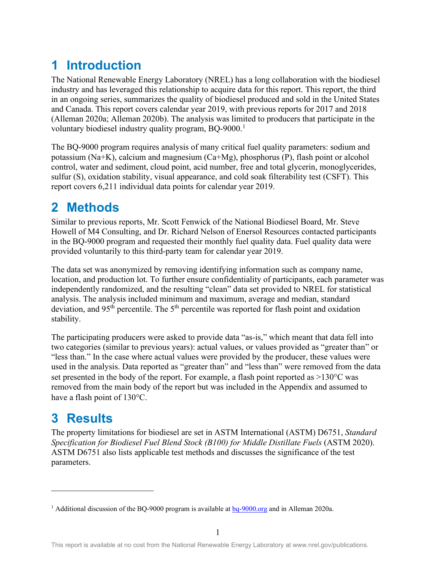## <span id="page-9-0"></span>**1 Introduction**

The National Renewable Energy Laboratory (NREL) has a long collaboration with the biodiesel industry and has leveraged this relationship to acquire data for this report. This report, the third in an ongoing series, summarizes the quality of biodiesel produced and sold in the United States and Canada. This report covers calendar year 2019, with previous reports for 2017 and 2018 (Alleman 2020a; Alleman 2020b). The analysis was limited to producers that participate in the voluntary biodiesel industry quality program, BQ-9000.<sup>[1](#page-9-3)</sup>

The BQ-9000 program requires analysis of many critical fuel quality parameters: sodium and potassium (Na+K), calcium and magnesium (Ca+Mg), phosphorus (P), flash point or alcohol control, water and sediment, cloud point, acid number, free and total glycerin, monoglycerides, sulfur (S), oxidation stability, visual appearance, and cold soak filterability test (CSFT). This report covers 6,211 individual data points for calendar year 2019.

## <span id="page-9-1"></span>**2 Methods**

Similar to previous reports, Mr. Scott Fenwick of the National Biodiesel Board, Mr. Steve Howell of M4 Consulting, and Dr. Richard Nelson of Enersol Resources contacted participants in the BQ-9000 program and requested their monthly fuel quality data. Fuel quality data were provided voluntarily to this third-party team for calendar year 2019.

The data set was anonymized by removing identifying information such as company name, location, and production lot. To further ensure confidentiality of participants, each parameter was independently randomized, and the resulting "clean" data set provided to NREL for statistical analysis. The analysis included minimum and maximum, average and median, standard deviation, and 95<sup>th</sup> percentile. The 5<sup>th</sup> percentile was reported for flash point and oxidation stability.

The participating producers were asked to provide data "as-is," which meant that data fell into two categories (similar to previous years): actual values, or values provided as "greater than" or "less than." In the case where actual values were provided by the producer, these values were used in the analysis. Data reported as "greater than" and "less than" were removed from the data set presented in the body of the report. For example, a flash point reported as >130°C was removed from the main body of the report but was included in the Appendix and assumed to have a flash point of 130°C.

## <span id="page-9-2"></span>**3 Results**

The property limitations for biodiesel are set in ASTM International (ASTM) D6751, *Standard Specification for Biodiesel Fuel Blend Stock (B100) for Middle Distillate Fuels* (ASTM 2020). ASTM D6751 also lists applicable test methods and discusses the significance of the test parameters.

<span id="page-9-3"></span><sup>&</sup>lt;sup>1</sup> Additional discussion of the BQ-9000 program is available at  $bq-9000.org$  and in Alleman 2020a.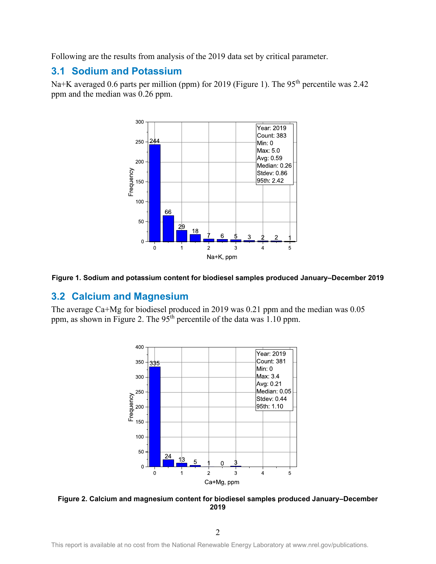Following are the results from analysis of the 2019 data set by critical parameter.

### <span id="page-10-0"></span>**3.1 Sodium and Potassium**

Na+K averaged 0.6 parts per million (ppm) for 2019 (Figure 1). The 95<sup>th</sup> percentile was 2.42 ppm and the median was 0.26 ppm.



<span id="page-10-2"></span>

#### <span id="page-10-1"></span>**3.2 Calcium and Magnesium**

The average Ca+Mg for biodiesel produced in 2019 was 0.21 ppm and the median was 0.05 ppm, as shown in Figure 2. The 95<sup>th</sup> percentile of the data was 1.10 ppm.



<span id="page-10-3"></span>**Figure 2. Calcium and magnesium content for biodiesel samples produced January–December 2019**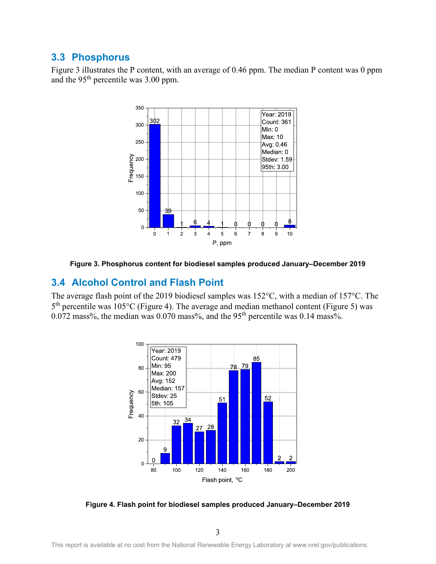### <span id="page-11-0"></span>**3.3 Phosphorus**

Figure 3 illustrates the P content, with an average of 0.46 ppm. The median P content was 0 ppm and the  $95<sup>th</sup>$  percentile was 3.00 ppm.



**Figure 3. Phosphorus content for biodiesel samples produced January–December 2019**

#### <span id="page-11-2"></span><span id="page-11-1"></span>**3.4 Alcohol Control and Flash Point**

The average flash point of the 2019 biodiesel samples was 152°C, with a median of 157°C. The 5<sup>th</sup> percentile was 105°C (Figure 4). The average and median methanol content (Figure 5) was 0.072 mass%, the median was  $0.070$  mass%, and the 95<sup>th</sup> percentile was 0.14 mass%.



<span id="page-11-3"></span>**Figure 4. Flash point for biodiesel samples produced January–December 2019**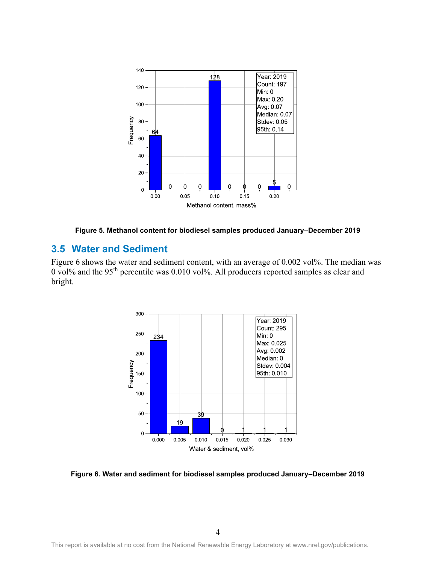

**Figure 5. Methanol content for biodiesel samples produced January–December 2019**

### <span id="page-12-1"></span><span id="page-12-0"></span>**3.5 Water and Sediment**

Figure 6 shows the water and sediment content, with an average of 0.002 vol%. The median was 0 vol% and the 95th percentile was 0.010 vol%. All producers reported samples as clear and bright.



<span id="page-12-2"></span>**Figure 6. Water and sediment for biodiesel samples produced January–December 2019**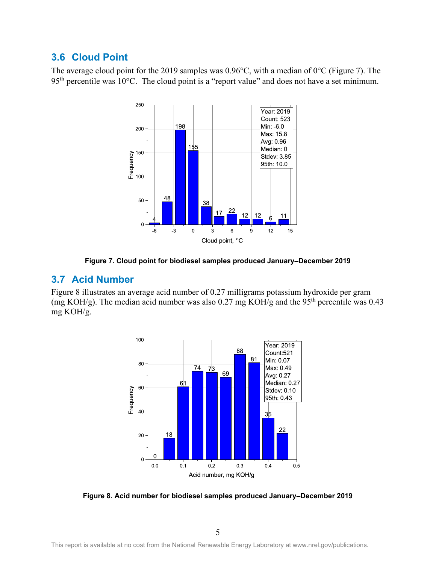### <span id="page-13-0"></span>**3.6 Cloud Point**

The average cloud point for the 2019 samples was 0.96°C, with a median of 0°C (Figure 7). The  $95<sup>th</sup>$  percentile was 10°C. The cloud point is a "report value" and does not have a set minimum.





#### <span id="page-13-2"></span><span id="page-13-1"></span>**3.7 Acid Number**

Figure 8 illustrates an average acid number of 0.27 milligrams potassium hydroxide per gram (mg KOH/g). The median acid number was also 0.27 mg KOH/g and the 95<sup>th</sup> percentile was 0.43 mg KOH/g.



<span id="page-13-3"></span>**Figure 8. Acid number for biodiesel samples produced January–December 2019**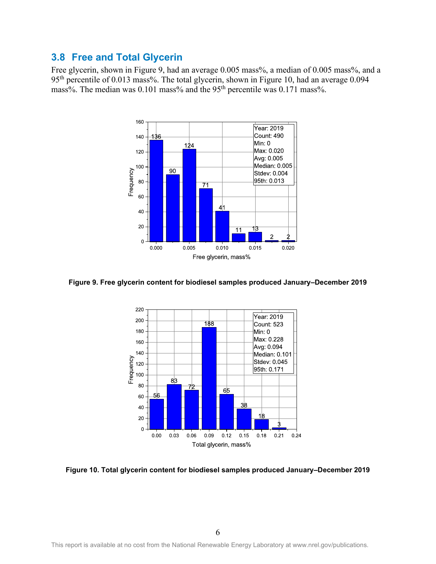### <span id="page-14-0"></span>**3.8 Free and Total Glycerin**

Free glycerin, shown in Figure 9, had an average 0.005 mass%, a median of 0.005 mass%, and a 95<sup>th</sup> percentile of 0.013 mass%. The total glycerin, shown in Figure 10, had an average 0.094 mass%. The median was 0.101 mass% and the 95<sup>th</sup> percentile was 0.171 mass%.



<span id="page-14-1"></span>**Figure 9. Free glycerin content for biodiesel samples produced January–December 2019**



<span id="page-14-2"></span>**Figure 10. Total glycerin content for biodiesel samples produced January–December 2019**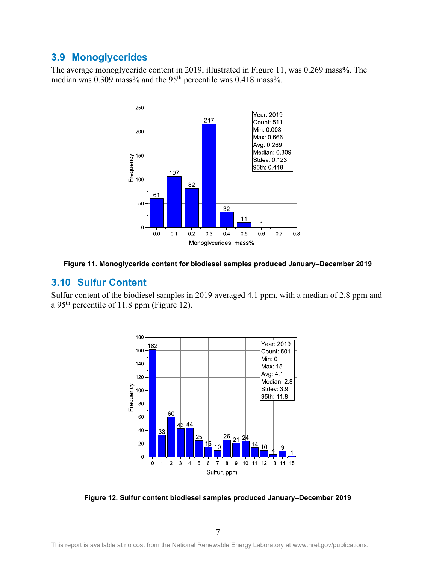### <span id="page-15-0"></span>**3.9 Monoglycerides**

The average monoglyceride content in 2019, illustrated in Figure 11, was 0.269 mass%. The median was 0.309 mass% and the 95<sup>th</sup> percentile was 0.418 mass%.



<span id="page-15-2"></span><span id="page-15-1"></span>

#### **3.10 Sulfur Content**

Sulfur content of the biodiesel samples in 2019 averaged 4.1 ppm, with a median of 2.8 ppm and a 95<sup>th</sup> percentile of 11.8 ppm (Figure 12).



<span id="page-15-3"></span>**Figure 12. Sulfur content biodiesel samples produced January–December 2019**

7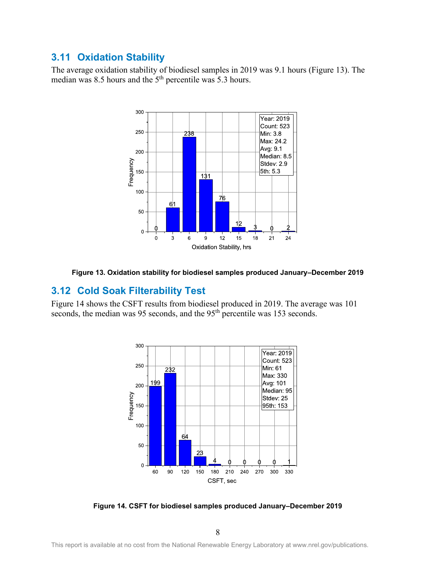### <span id="page-16-0"></span>**3.11 Oxidation Stability**

The average oxidation stability of biodiesel samples in 2019 was 9.1 hours (Figure 13). The median was 8.5 hours and the  $5<sup>th</sup>$  percentile was 5.3 hours.



<span id="page-16-2"></span><span id="page-16-1"></span>

### **3.12 Cold Soak Filterability Test**

Figure 14 shows the CSFT results from biodiesel produced in 2019. The average was 101 seconds, the median was 95 seconds, and the 95<sup>th</sup> percentile was 153 seconds.



<span id="page-16-3"></span>**Figure 14. CSFT for biodiesel samples produced January–December 2019**

8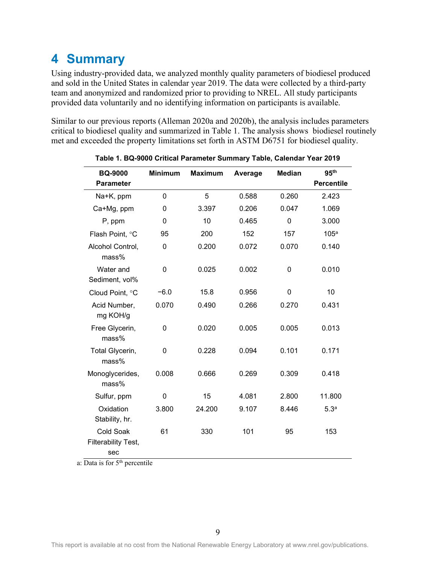## <span id="page-17-0"></span>**4 Summary**

Using industry-provided data, we analyzed monthly quality parameters of biodiesel produced and sold in the United States in calendar year 2019. The data were collected by a third-party team and anonymized and randomized prior to providing to NREL. All study participants provided data voluntarily and no identifying information on participants is available.

Similar to our previous reports (Alleman 2020a and 2020b), the analysis includes parameters critical to biodiesel quality and summarized in Table 1. The analysis shows biodiesel routinely met and exceeded the property limitations set forth in ASTM D6751 for biodiesel quality.

<span id="page-17-1"></span>

| <b>BQ-9000</b>                                 | <b>Minimum</b> | <b>Maximum</b> | Average | <b>Median</b> | 95 <sup>th</sup>  |
|------------------------------------------------|----------------|----------------|---------|---------------|-------------------|
| <b>Parameter</b>                               |                |                |         |               | <b>Percentile</b> |
| Na+K, ppm                                      | $\mathbf 0$    | 5              | 0.588   | 0.260         | 2.423             |
| Ca+Mg, ppm                                     | 0              | 3.397          | 0.206   | 0.047         | 1.069             |
| P, ppm                                         | 0              | 10             | 0.465   | $\mathbf 0$   | 3.000             |
| Flash Point, °C                                | 95             | 200            | 152     | 157           | 105 <sup>a</sup>  |
| Alcohol Control,<br>mass%                      | $\mathbf 0$    | 0.200          | 0.072   | 0.070         | 0.140             |
| Water and<br>Sediment, vol%                    | $\mathbf 0$    | 0.025          | 0.002   | 0             | 0.010             |
| Cloud Point, °C                                | $-6.0$         | 15.8           | 0.956   | 0             | 10                |
| Acid Number,<br>mg KOH/g                       | 0.070          | 0.490          | 0.266   | 0.270         | 0.431             |
| Free Glycerin,<br>mass%                        | 0              | 0.020          | 0.005   | 0.005         | 0.013             |
| Total Glycerin,<br>mass%                       | 0              | 0.228          | 0.094   | 0.101         | 0.171             |
| Monoglycerides,<br>mass%                       | 0.008          | 0.666          | 0.269   | 0.309         | 0.418             |
| Sulfur, ppm                                    | 0              | 15             | 4.081   | 2.800         | 11.800            |
| Oxidation<br>Stability, hr.                    | 3.800          | 24.200         | 9.107   | 8.446         | 5.3 <sup>a</sup>  |
| <b>Cold Soak</b><br>Filterability Test,<br>sec | 61             | 330            | 101     | 95            | 153               |

**Table 1. BQ-9000 Critical Parameter Summary Table, Calendar Year 2019**

a: Data is for 5<sup>th</sup> percentile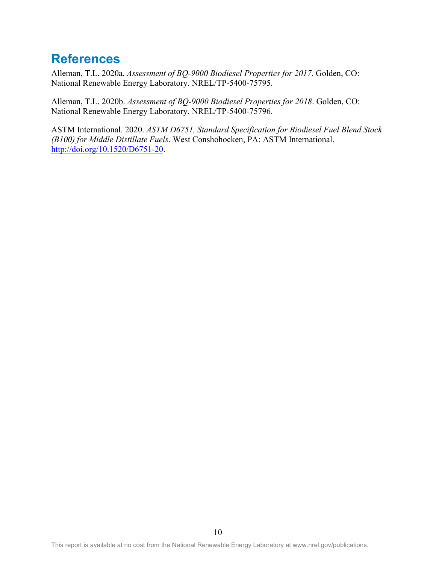### <span id="page-18-0"></span>**References**

Alleman, T.L. 2020a. *Assessment of BQ-9000 Biodiesel Properties for 2017*. Golden, CO: National Renewable Energy Laboratory. NREL/TP-5400-75795.

Alleman, T.L. 2020b. *Assessment of BQ-9000 Biodiesel Properties for 2018*. Golden, CO: National Renewable Energy Laboratory. NREL/TP-5400-75796.

ASTM International. 2020. *ASTM D6751, Standard Specification for Biodiesel Fuel Blend Stock (B100) for Middle Distillate Fuels*. West Conshohocken, PA: ASTM International. [http://doi.org/10.1520/D6751-20.](http://doi.org/10.1520/D6751-20)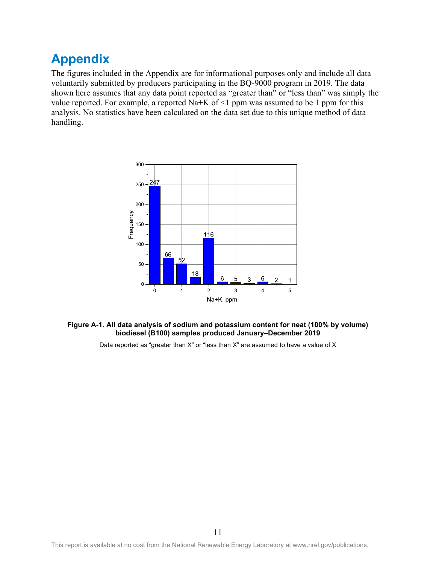## <span id="page-19-0"></span>**Appendix**

The figures included in the Appendix are for informational purposes only and include all data voluntarily submitted by producers participating in the BQ-9000 program in 2019. The data shown here assumes that any data point reported as "greater than" or "less than" was simply the value reported. For example, a reported Na+K of  $\leq 1$  ppm was assumed to be 1 ppm for this analysis. No statistics have been calculated on the data set due to this unique method of data handling.



#### <span id="page-19-1"></span>**Figure A-1. All data analysis of sodium and potassium content for neat (100% by volume) biodiesel (B100) samples produced January–December 2019**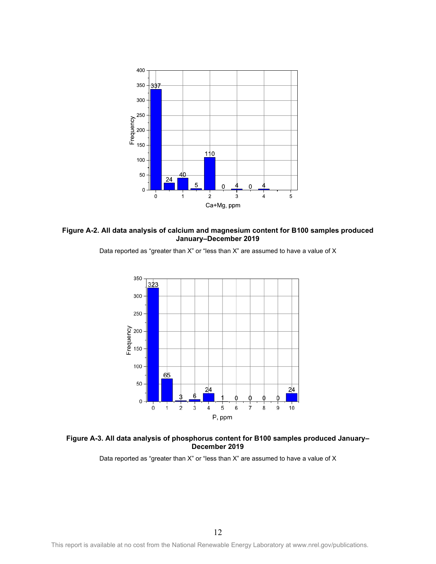

<span id="page-20-0"></span>





#### <span id="page-20-1"></span>**Figure A-3. All data analysis of phosphorus content for B100 samples produced January– December 2019**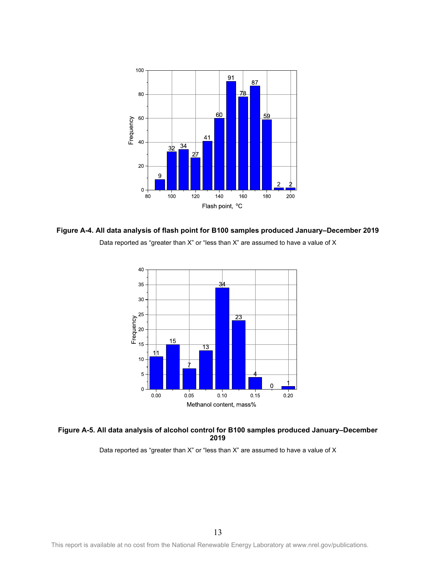

<span id="page-21-0"></span>



#### <span id="page-21-1"></span>**Figure A-5. All data analysis of alcohol control for B100 samples produced January–December 2019**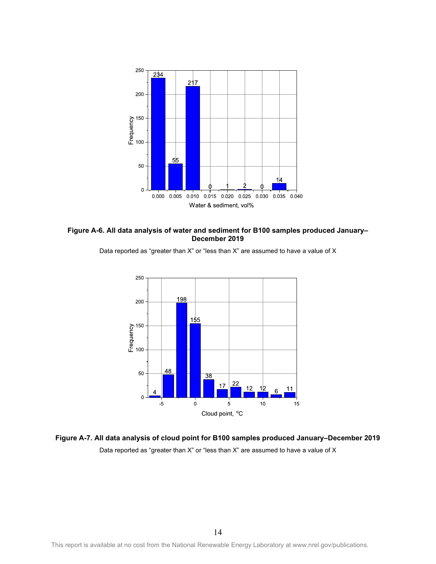

<span id="page-22-0"></span>





<span id="page-22-1"></span>**Figure A-7. All data analysis of cloud point for B100 samples produced January–December 2019** Data reported as "greater than X" or "less than X" are assumed to have a value of X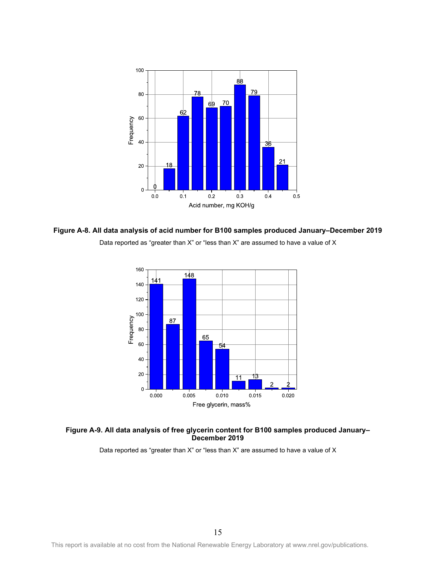

<span id="page-23-0"></span>**Figure A-8. All data analysis of acid number for B100 samples produced January–December 2019** Data reported as "greater than X" or "less than X" are assumed to have a value of X



#### <span id="page-23-1"></span>**Figure A-9. All data analysis of free glycerin content for B100 samples produced January– December 2019**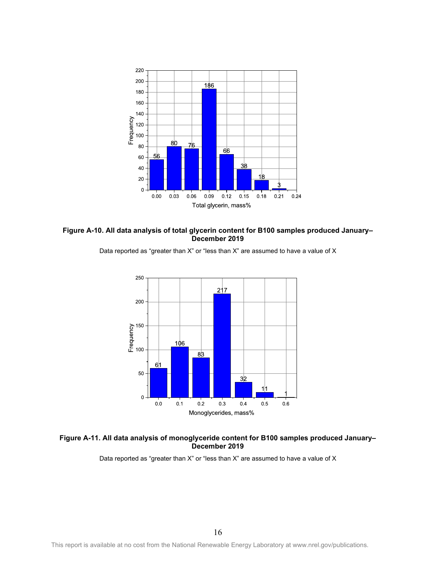

<span id="page-24-0"></span>



Data reported as "greater than X" or "less than X" are assumed to have a value of X

#### <span id="page-24-1"></span>**Figure A-11. All data analysis of monoglyceride content for B100 samples produced January– December 2019**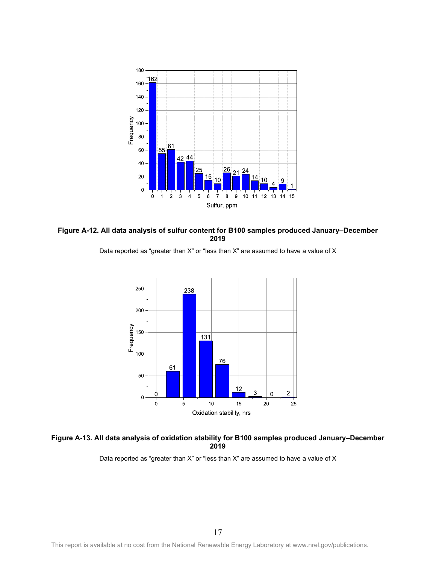

<span id="page-25-0"></span>**Figure A-12. All data analysis of sulfur content for B100 samples produced January–December 2019**





#### <span id="page-25-1"></span>**Figure A-13. All data analysis of oxidation stability for B100 samples produced January–December 2019**